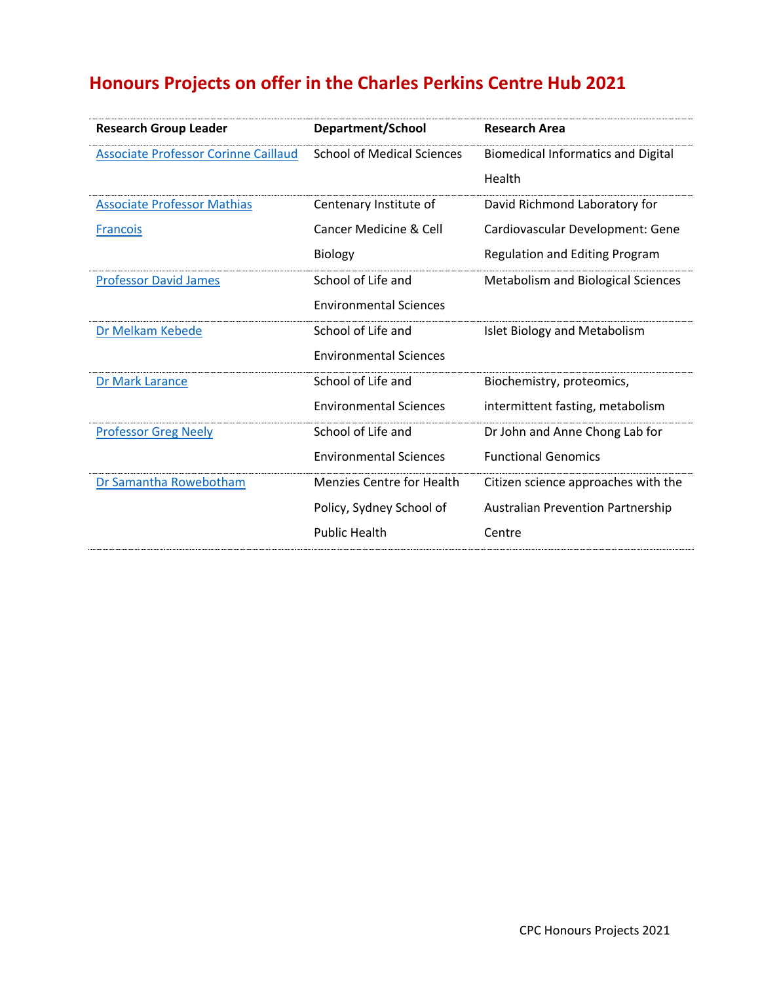# **Honours Projects on offer in the Charles Perkins Centre Hub 2021**

| <b>Research Group Leader</b>                | Department/School                 | <b>Research Area</b>                      |
|---------------------------------------------|-----------------------------------|-------------------------------------------|
| <b>Associate Professor Corinne Caillaud</b> | <b>School of Medical Sciences</b> | <b>Biomedical Informatics and Digital</b> |
|                                             |                                   | Health                                    |
| <b>Associate Professor Mathias</b>          | Centenary Institute of            | David Richmond Laboratory for             |
| <b>Francois</b>                             | Cancer Medicine & Cell            | Cardiovascular Development: Gene          |
|                                             | Biology                           | Regulation and Editing Program            |
| <b>Professor David James</b>                | School of Life and                | <b>Metabolism and Biological Sciences</b> |
|                                             | <b>Environmental Sciences</b>     |                                           |
| Dr Melkam Kebede                            | School of Life and                | Islet Biology and Metabolism              |
|                                             | <b>Environmental Sciences</b>     |                                           |
| Dr Mark Larance                             | School of Life and                | Biochemistry, proteomics,                 |
|                                             | <b>Environmental Sciences</b>     | intermittent fasting, metabolism          |
| <b>Professor Greg Neely</b>                 | School of Life and                | Dr John and Anne Chong Lab for            |
|                                             | <b>Environmental Sciences</b>     | <b>Functional Genomics</b>                |
| Dr Samantha Rowebotham                      | <b>Menzies Centre for Health</b>  | Citizen science approaches with the       |
|                                             | Policy, Sydney School of          | <b>Australian Prevention Partnership</b>  |
|                                             | <b>Public Health</b>              | Centre                                    |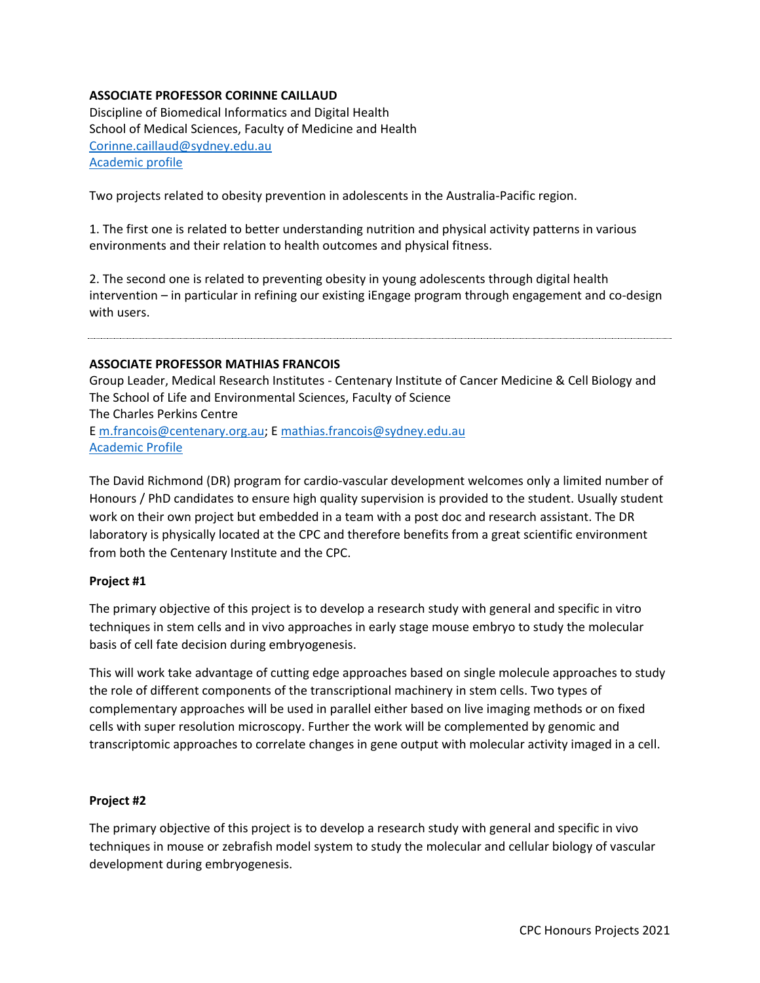# **ASSOCIATE PROFESSOR CORINNE CAILLAUD**

Discipline of Biomedical Informatics and Digital Health School of Medical Sciences, Faculty of Medicine and Health [Corinne.caillaud@sydney.edu.au](mailto:Corinne.caillaud@sydney.edu.au) [Academic profile](https://www.sydney.edu.au/medicine-health/about/our-people/academic-staff/corinne-caillaud.html)

Two projects related to obesity prevention in adolescents in the Australia-Pacific region.

1. The first one is related to better understanding nutrition and physical activity patterns in various environments and their relation to health outcomes and physical fitness.

2. The second one is related to preventing obesity in young adolescents through digital health intervention – in particular in refining our existing iEngage program through engagement and co-design with users.

## <span id="page-1-0"></span>**ASSOCIATE PROFESSOR MATHIAS FRANCOIS**

Group Leader, Medical Research Institutes - Centenary Institute of Cancer Medicine & Cell Biology and The School of Life and Environmental Sciences, Faculty of Science The Charles Perkins Centre E [m.francois@centenary.org.au;](mailto:m.francois@centenary.org.au) E [mathias.francois@sydney.edu.au](mailto:mathias.francois@sydney.edu.au) [Academic Profile](https://www.centenary.org.au/cen_author/associate-professor-mathias-francois/)

The David Richmond (DR) program for cardio-vascular development welcomes only a limited number of Honours / PhD candidates to ensure high quality supervision is provided to the student. Usually student work on their own project but embedded in a team with a post doc and research assistant. The DR laboratory is physically located at the CPC and therefore benefits from a great scientific environment from both the Centenary Institute and the CPC.

#### **Project #1**

The primary objective of this project is to develop a research study with general and specific in vitro techniques in stem cells and in vivo approaches in early stage mouse embryo to study the molecular basis of cell fate decision during embryogenesis.

This will work take advantage of cutting edge approaches based on single molecule approaches to study the role of different components of the transcriptional machinery in stem cells. Two types of complementary approaches will be used in parallel either based on live imaging methods or on fixed cells with super resolution microscopy. Further the work will be complemented by genomic and transcriptomic approaches to correlate changes in gene output with molecular activity imaged in a cell.

#### **Project #2**

The primary objective of this project is to develop a research study with general and specific in vivo techniques in mouse or zebrafish model system to study the molecular and cellular biology of vascular development during embryogenesis.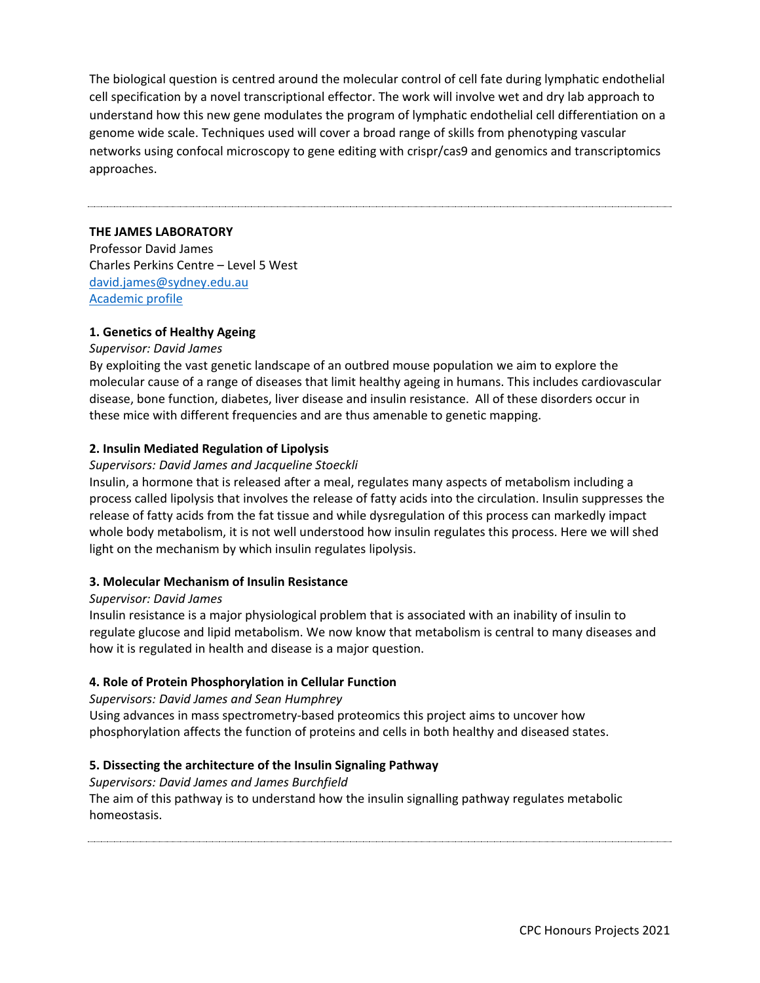The biological question is centred around the molecular control of cell fate during lymphatic endothelial cell specification by a novel transcriptional effector. The work will involve wet and dry lab approach to understand how this new gene modulates the program of lymphatic endothelial cell differentiation on a genome wide scale. Techniques used will cover a broad range of skills from phenotyping vascular networks using confocal microscopy to gene editing with crispr/cas9 and genomics and transcriptomics approaches.

# <span id="page-2-0"></span>**THE JAMES LABORATORY**

Professor David James Charles Perkins Centre – Level 5 West [david.james@sydney.edu.au](mailto:david.james@sydney.edu.au) [Academic profile](https://www.sydney.edu.au/science/about/our-people/academic-staff/david-james.html)

## **1. Genetics of Healthy Ageing**

#### *Supervisor: David James*

By exploiting the vast genetic landscape of an outbred mouse population we aim to explore the molecular cause of a range of diseases that limit healthy ageing in humans. This includes cardiovascular disease, bone function, diabetes, liver disease and insulin resistance. All of these disorders occur in these mice with different frequencies and are thus amenable to genetic mapping.

#### **2. Insulin Mediated Regulation of Lipolysis**

#### *Supervisors: David James and Jacqueline Stoeckli*

Insulin, a hormone that is released after a meal, regulates many aspects of metabolism including a process called lipolysis that involves the release of fatty acids into the circulation. Insulin suppresses the release of fatty acids from the fat tissue and while dysregulation of this process can markedly impact whole body metabolism, it is not well understood how insulin regulates this process. Here we will shed light on the mechanism by which insulin regulates lipolysis.

### **3. Molecular Mechanism of Insulin Resistance**

#### *Supervisor: David James*

Insulin resistance is a major physiological problem that is associated with an inability of insulin to regulate glucose and lipid metabolism. We now know that metabolism is central to many diseases and how it is regulated in health and disease is a major question.

#### **4. Role of Protein Phosphorylation in Cellular Function**

#### *Supervisors: David James and Sean Humphrey*

Using advances in mass spectrometry-based proteomics this project aims to uncover how phosphorylation affects the function of proteins and cells in both healthy and diseased states.

# **5. Dissecting the architecture of the Insulin Signaling Pathway**

#### *Supervisors: David James and James Burchfield*

The aim of this pathway is to understand how the insulin signalling pathway regulates metabolic homeostasis.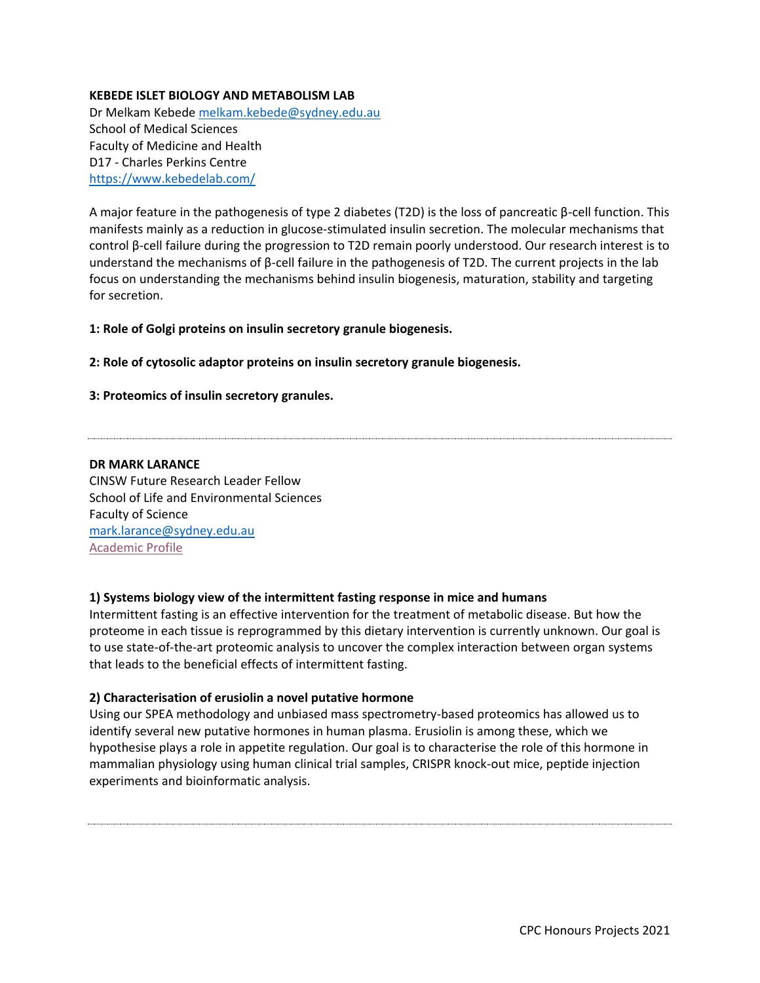# <span id="page-3-0"></span>**KEBEDE ISLET BIOLOGY AND METABOLISM LAB**

Dr Melkam Kebede [melkam.kebede@sydney.edu.au](mailto:melkam.kebede@sydney.edu.au) School of Medical Sciences Faculty of Medicine and Health D17 - Charles Perkins Centre <https://www.kebedelab.com/>

A major feature in the pathogenesis of type 2 diabetes (T2D) is the loss of pancreatic β-cell function. This manifests mainly as a reduction in glucose-stimulated insulin secretion. The molecular mechanisms that control β-cell failure during the progression to T2D remain poorly understood. Our research interest is to understand the mechanisms of β-cell failure in the pathogenesis of T2D. The current projects in the lab focus on understanding the mechanisms behind insulin biogenesis, maturation, stability and targeting for secretion.

**1: Role of Golgi proteins on insulin secretory granule biogenesis.** 

## **2: Role of cytosolic adaptor proteins on insulin secretory granule biogenesis.**

## **3: Proteomics of insulin secretory granules.**

#### <span id="page-3-1"></span>**DR MARK LARANCE**

CINSW Future Research Leader Fellow School of Life and Environmental Sciences Faculty of Science [mark.larance@sydney.edu.au](mailto:mark.larance@sydney.edu.au) [Academic Profile](https://www.sydney.edu.au/science/about/our-people/academic-staff/mark-larance.html)

# **1) Systems biology view of the intermittent fasting response in mice and humans**

Intermittent fasting is an effective intervention for the treatment of metabolic disease. But how the proteome in each tissue is reprogrammed by this dietary intervention is currently unknown. Our goal is to use state-of-the-art proteomic analysis to uncover the complex interaction between organ systems that leads to the beneficial effects of intermittent fasting.

#### **2) Characterisation of erusiolin a novel putative hormone**

Using our SPEA methodology and unbiased mass spectrometry-based proteomics has allowed us to identify several new putative hormones in human plasma. Erusiolin is among these, which we hypothesise plays a role in appetite regulation. Our goal is to characterise the role of this hormone in mammalian physiology using human clinical trial samples, CRISPR knock-out mice, peptide injection experiments and bioinformatic analysis.

CPC Honours Projects 2021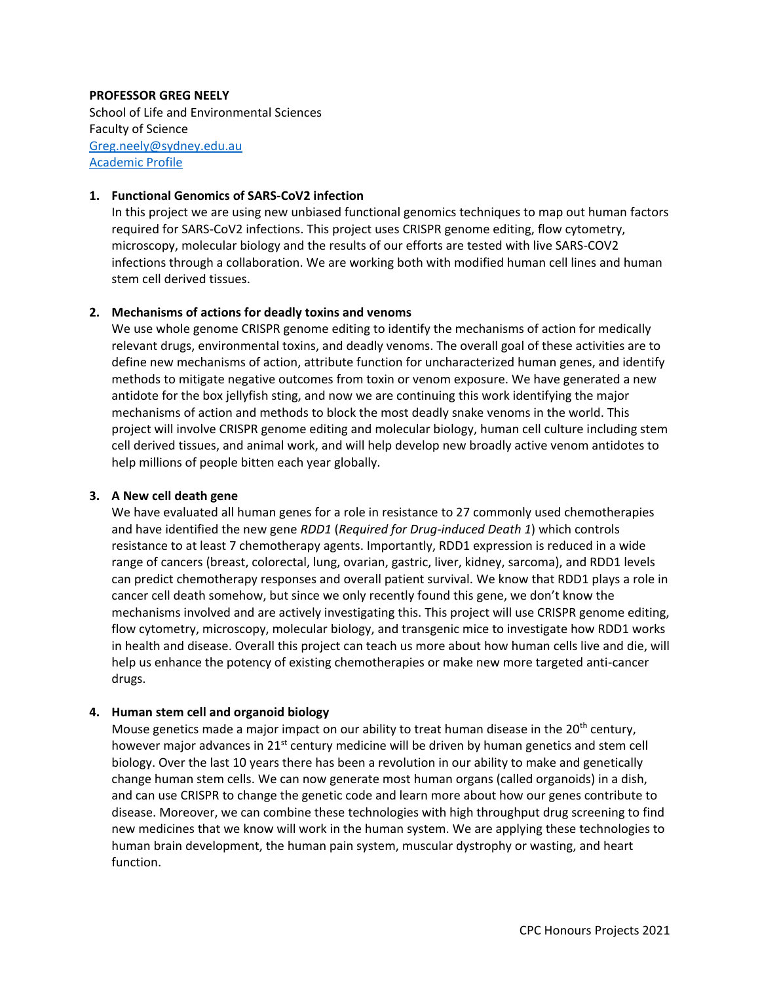## <span id="page-4-0"></span>**PROFESSOR GREG NEELY**

School of Life and Environmental Sciences Faculty of Science [Greg.neely@sydney.edu.au](mailto:Greg.neely@sydney.edu.au) [Academic Profile](https://www.sydney.edu.au/science/about/our-people/academic-staff/greg-neely.html)

## **1. Functional Genomics of SARS-CoV2 infection**

In this project we are using new unbiased functional genomics techniques to map out human factors required for SARS-CoV2 infections. This project uses CRISPR genome editing, flow cytometry, microscopy, molecular biology and the results of our efforts are tested with live SARS-COV2 infections through a collaboration. We are working both with modified human cell lines and human stem cell derived tissues.

## **2. Mechanisms of actions for deadly toxins and venoms**

We use whole genome CRISPR genome editing to identify the mechanisms of action for medically relevant drugs, environmental toxins, and deadly venoms. The overall goal of these activities are to define new mechanisms of action, attribute function for uncharacterized human genes, and identify methods to mitigate negative outcomes from toxin or venom exposure. We have generated a new antidote for the box jellyfish sting, and now we are continuing this work identifying the major mechanisms of action and methods to block the most deadly snake venoms in the world. This project will involve CRISPR genome editing and molecular biology, human cell culture including stem cell derived tissues, and animal work, and will help develop new broadly active venom antidotes to help millions of people bitten each year globally.

# **3. A New cell death gene**

We have evaluated all human genes for a role in resistance to 27 commonly used chemotherapies and have identified the new gene *RDD1* (*Required for Drug-induced Death 1*) which controls resistance to at least 7 chemotherapy agents. Importantly, RDD1 expression is reduced in a wide range of cancers (breast, colorectal, lung, ovarian, gastric, liver, kidney, sarcoma), and RDD1 levels can predict chemotherapy responses and overall patient survival. We know that RDD1 plays a role in cancer cell death somehow, but since we only recently found this gene, we don't know the mechanisms involved and are actively investigating this. This project will use CRISPR genome editing, flow cytometry, microscopy, molecular biology, and transgenic mice to investigate how RDD1 works in health and disease. Overall this project can teach us more about how human cells live and die, will help us enhance the potency of existing chemotherapies or make new more targeted anti-cancer drugs.

# **4. Human stem cell and organoid biology**

Mouse genetics made a major impact on our ability to treat human disease in the 20<sup>th</sup> century, however major advances in 21<sup>st</sup> century medicine will be driven by human genetics and stem cell biology. Over the last 10 years there has been a revolution in our ability to make and genetically change human stem cells. We can now generate most human organs (called organoids) in a dish, and can use CRISPR to change the genetic code and learn more about how our genes contribute to disease. Moreover, we can combine these technologies with high throughput drug screening to find new medicines that we know will work in the human system. We are applying these technologies to human brain development, the human pain system, muscular dystrophy or wasting, and heart function.